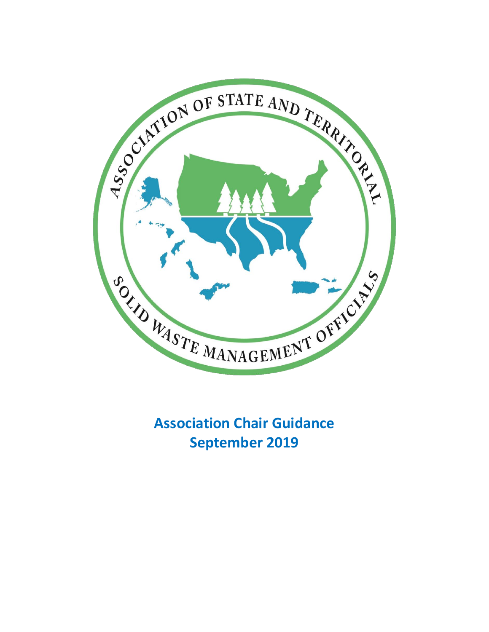

**Association Chair Guidance September 2019**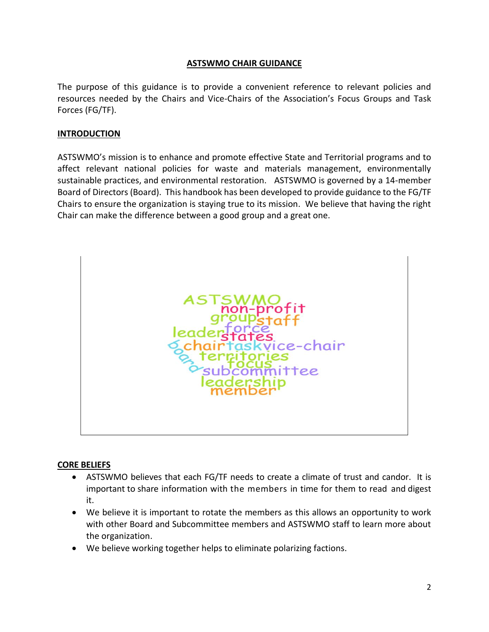### **ASTSWMO CHAIR GUIDANCE**

The purpose of this guidance is to provide a convenient reference to relevant policies and resources needed by the Chairs and Vice-Chairs of the Association's Focus Groups and Task Forces (FG/TF).

### **INTRODUCTION**

ASTSWMO's mission is to enhance and promote effective State and Territorial programs and to affect relevant national policies for waste and materials management, environmentally sustainable practices, and environmental restoration. ASTSWMO is governed by a 14-member Board of Directors (Board). This handbook has been developed to provide guidance to the FG/TF Chairs to ensure the organization is staying true to its mission. We believe that having the right Chair can make the difference between a good group and a great one.



#### **CORE BELIEFS**

- ASTSWMO believes that each FG/TF needs to create a climate of trust and candor. It is important to share information with the members in time for them to read and digest it.
- We believe it is important to rotate the members as this allows an opportunity to work with other Board and Subcommittee members and ASTSWMO staff to learn more about the organization.
- We believe working together helps to eliminate polarizing factions.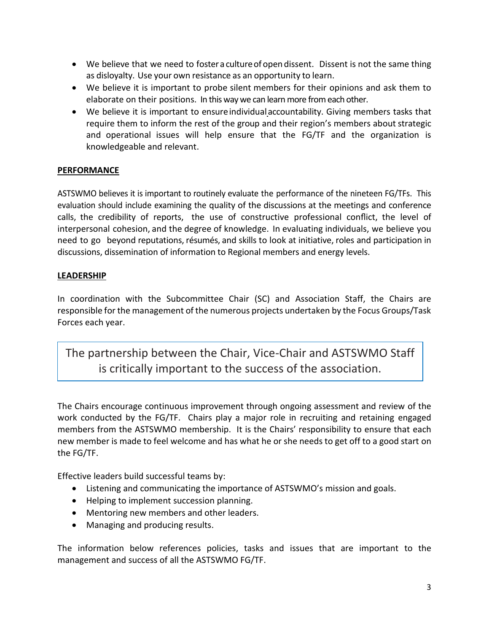- We believe that we need to foster a culture of open dissent. Dissent is not the same thing as disloyalty. Use your own resistance as an opportunity to learn.
- We believe it is important to probe silent members for their opinions and ask them to elaborate on their positions. In this way we can learn more from each other.
- We believe it is important to ensureindividualaccountability. Giving members tasks that require them to inform the rest of the group and their region's members about strategic and operational issues will help ensure that the FG/TF and the organization is knowledgeable and relevant.

# **PERFORMANCE**

ASTSWMO believes it is important to routinely evaluate the performance of the nineteen FG/TFs. This evaluation should include examining the quality of the discussions at the meetings and conference calls, the credibility of reports, the use of constructive professional conflict, the level of interpersonal cohesion, and the degree of knowledge. In evaluating individuals, we believe you need to go beyond reputations, résumés, and skills to look at initiative, roles and participation in discussions, dissemination of information to Regional members and energy levels.

# **LEADERSHIP**

In coordination with the Subcommittee Chair (SC) and Association Staff, the Chairs are responsible for the management of the numerous projects undertaken by the Focus Groups/Task Forces each year.

The partnership between the Chair, Vice-Chair and ASTSWMO Staff is critically important to the success of the association.

The Chairs encourage continuous improvement through ongoing assessment and review of the work conducted by the FG/TF. Chairs play a major role in recruiting and retaining engaged members from the ASTSWMO membership. It is the Chairs' responsibility to ensure that each new member is made to feel welcome and has what he or she needs to get off to a good start on the FG/TF.

Effective leaders build successful teams by:

- Listening and communicating the importance of ASTSWMO's mission and goals.
- Helping to implement succession planning.
- Mentoring new members and other leaders.
- Managing and producing results.

The information below references policies, tasks and issues that are important to the management and success of all the ASTSWMO FG/TF.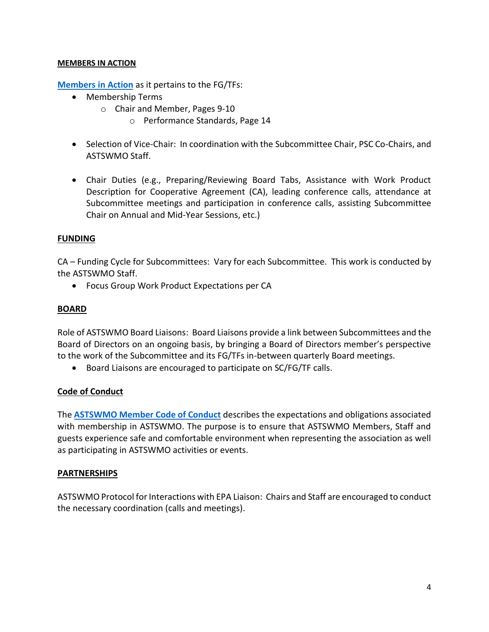#### **MEMBERS IN ACTION**

**[Members in](http://astswmo.org/files/policies/Members_in_Action_6-3-16.pdf) Action** as it pertains to the FG/TFs:

- Membership Terms
	- o Chair and Member, Pages 9-10
		- o Performance Standards, Page 14
- Selection of Vice-Chair: In coordination with the Subcommittee Chair, PSC Co-Chairs, and ASTSWMO Staff.
- Chair Duties (e.g., Preparing/Reviewing Board Tabs, Assistance with Work Product Description for Cooperative Agreement (CA), leading conference calls, attendance at Subcommittee meetings and participation in conference calls, assisting Subcommittee Chair on Annual and Mid-Year Sessions, etc.)

# **FUNDING**

CA – Funding Cycle for Subcommittees: Vary for each Subcommittee. This work is conducted by the ASTSWMO Staff.

• Focus Group Work Product Expectations per CA

#### **BOARD**

Role of ASTSWMO Board Liaisons: Board Liaisons provide a link between Subcommittees and the Board of Directors on an ongoing basis, by bringing a Board of Directors member's perspective to the work of the Subcommittee and its FG/TFs in-between quarterly Board meetings.

• Board Liaisons are encouraged to participate on SC/FG/TF calls.

# **Code of Conduct**

The **[ASTSWMO Member Code of Conduct](http://astswmo.org/files/policies/Member%20Code%20of%20Conduct.pdf)** describes the expectations and obligations associated with membership in ASTSWMO. The purpose is to ensure that ASTSWMO Members, Staff and guests experience safe and comfortable environment when representing the association as well as participating in ASTSWMO activities or events.

# **PARTNERSHIPS**

ASTSWMO Protocol for Interactions with EPA Liaison: Chairs and Staff are encouraged to conduct the necessary coordination (calls and meetings).